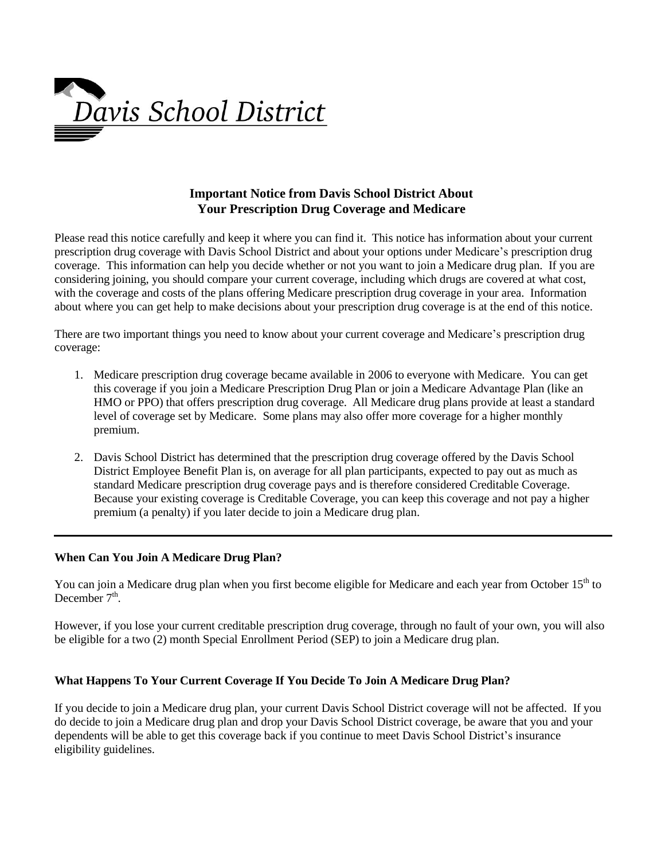

# **Important Notice from Davis School District About Your Prescription Drug Coverage and Medicare**

Please read this notice carefully and keep it where you can find it. This notice has information about your current prescription drug coverage with Davis School District and about your options under Medicare's prescription drug coverage. This information can help you decide whether or not you want to join a Medicare drug plan. If you are considering joining, you should compare your current coverage, including which drugs are covered at what cost, with the coverage and costs of the plans offering Medicare prescription drug coverage in your area. Information about where you can get help to make decisions about your prescription drug coverage is at the end of this notice.

There are two important things you need to know about your current coverage and Medicare's prescription drug coverage:

- 1. Medicare prescription drug coverage became available in 2006 to everyone with Medicare. You can get this coverage if you join a Medicare Prescription Drug Plan or join a Medicare Advantage Plan (like an HMO or PPO) that offers prescription drug coverage. All Medicare drug plans provide at least a standard level of coverage set by Medicare. Some plans may also offer more coverage for a higher monthly premium.
- 2. Davis School District has determined that the prescription drug coverage offered by the Davis School District Employee Benefit Plan is, on average for all plan participants, expected to pay out as much as standard Medicare prescription drug coverage pays and is therefore considered Creditable Coverage. Because your existing coverage is Creditable Coverage, you can keep this coverage and not pay a higher premium (a penalty) if you later decide to join a Medicare drug plan.

### **When Can You Join A Medicare Drug Plan?**

You can join a Medicare drug plan when you first become eligible for Medicare and each year from October 15<sup>th</sup> to December  $7<sup>th</sup>$ .

However, if you lose your current creditable prescription drug coverage, through no fault of your own, you will also be eligible for a two (2) month Special Enrollment Period (SEP) to join a Medicare drug plan.

### **What Happens To Your Current Coverage If You Decide To Join A Medicare Drug Plan?**

If you decide to join a Medicare drug plan, your current Davis School District coverage will not be affected. If you do decide to join a Medicare drug plan and drop your Davis School District coverage, be aware that you and your dependents will be able to get this coverage back if you continue to meet Davis School District's insurance eligibility guidelines.